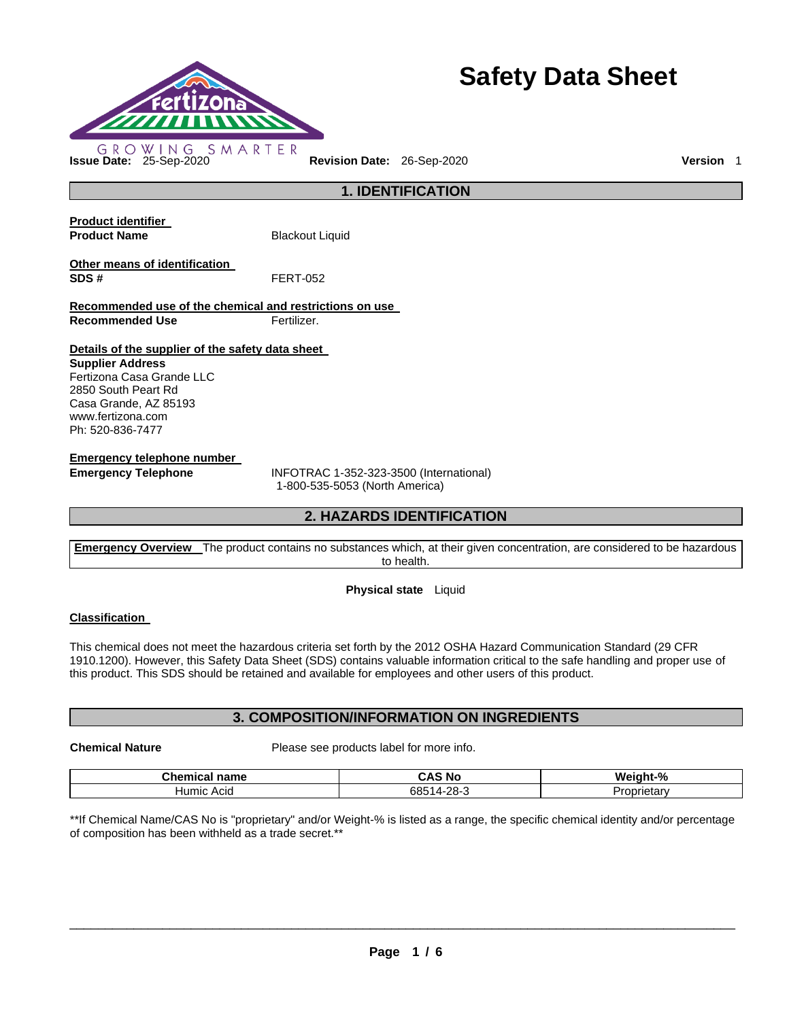

# **Safety Data Sheet**

**1. IDENTIFICATION** 

**Product identifier Product Name Blackout Liquid Other means of identification SDS #** FERT-052 **Recommended use of the chemical and restrictions on use Recommended Use Fertilizer. Details of the supplier of the safety data sheet Supplier Address** Fertizona Casa Grande LLC 2850 South Peart Rd Casa Grande, AZ 85193 www.fertizona.com

Ph: 520-836-7477

**Emergency telephone number** 

**Emergency Telephone** INFOTRAC 1-352-323-3500 (International) 1-800-535-5053 (North America)

## **2. HAZARDS IDENTIFICATION**

**Emergency Overview** The product contains no substances which, at their given concentration, are considered to be hazardous to health.

## **Physical state** Liquid

## **Classification**

This chemical does not meet the hazardous criteria set forth by the 2012 OSHA Hazard Communication Standard (29 CFR 1910.1200). However, this Safety Data Sheet (SDS) contains valuable information critical to the safe handling and proper use of this product. This SDS should be retained and available for employees and other users of this product.

## **3. COMPOSITION/INFORMATION ON INGREDIENTS**

**Chemical Nature** Please see products label for more info.

| <b>Chamber</b>         | . .                          | $-9/6$    |
|------------------------|------------------------------|-----------|
| name                   | . к                          | We        |
| une                    | 'No                          | i ar la t |
| шьаг                   | whe                          | ----      |
| <b>Humic</b><br>: Acıd | 685<br>ററ<br>$\Lambda$<br>~- | лета      |

\*\*If Chemical Name/CAS No is "proprietary" and/or Weight-% is listed as a range, the specific chemical identity and/or percentage of composition has been withheld as a trade secret.\*\*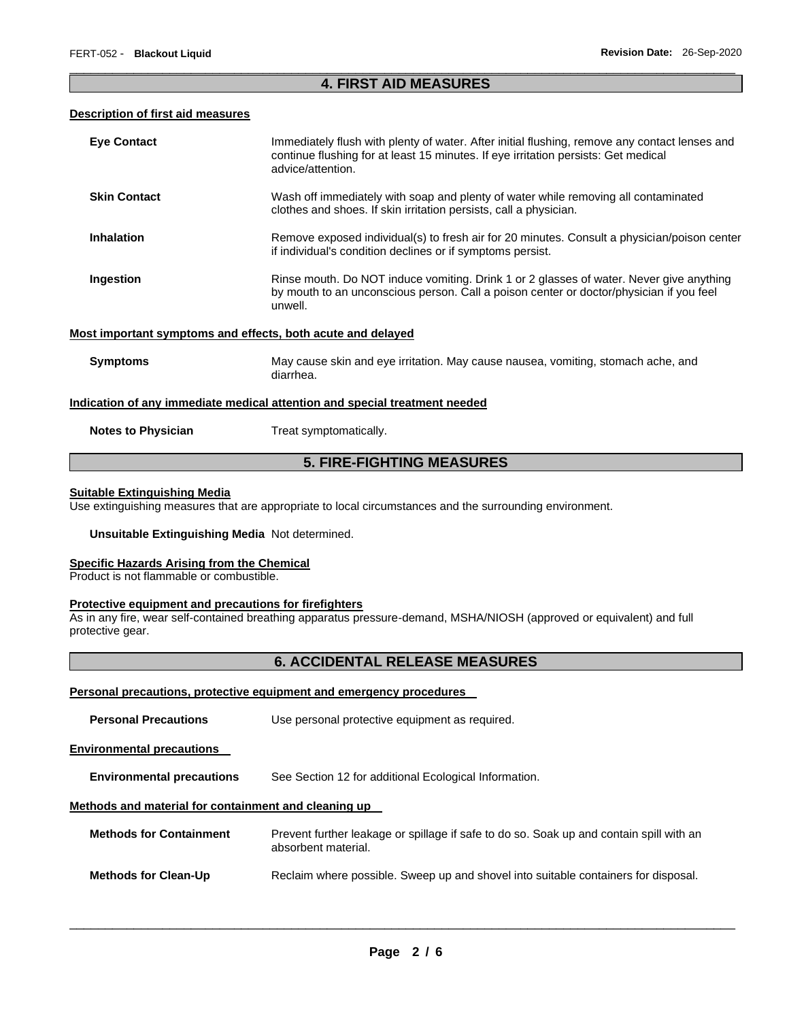## \_\_\_\_\_\_\_\_\_\_\_\_\_\_\_\_\_\_\_\_\_\_\_\_\_\_\_\_\_\_\_\_\_\_\_\_\_\_\_\_\_\_\_\_\_\_\_\_\_\_\_\_\_\_\_\_\_\_\_\_\_\_\_\_\_\_\_\_\_\_\_\_\_\_\_\_\_\_\_\_\_\_\_\_\_\_\_\_\_\_\_\_\_ **4. FIRST AID MEASURES**

## **Description of first aid measures**

| <b>Eye Contact</b>                                                         | Immediately flush with plenty of water. After initial flushing, remove any contact lenses and<br>continue flushing for at least 15 minutes. If eye irritation persists: Get medical<br>advice/attention. |  |  |  |
|----------------------------------------------------------------------------|----------------------------------------------------------------------------------------------------------------------------------------------------------------------------------------------------------|--|--|--|
| <b>Skin Contact</b>                                                        | Wash off immediately with soap and plenty of water while removing all contaminated<br>clothes and shoes. If skin irritation persists, call a physician.                                                  |  |  |  |
| <b>Inhalation</b>                                                          | Remove exposed individual(s) to fresh air for 20 minutes. Consult a physician/poison center<br>if individual's condition declines or if symptoms persist.                                                |  |  |  |
| Ingestion                                                                  | Rinse mouth. Do NOT induce vomiting. Drink 1 or 2 glasses of water. Never give anything<br>by mouth to an unconscious person. Call a poison center or doctor/physician if you feel<br>unwell.            |  |  |  |
| Most important symptoms and effects, both acute and delayed                |                                                                                                                                                                                                          |  |  |  |
| <b>Symptoms</b>                                                            | May cause skin and eye irritation. May cause nausea, vomiting, stomach ache, and<br>diarrhea.                                                                                                            |  |  |  |
| Indication of any immediate medical attention and special treatment needed |                                                                                                                                                                                                          |  |  |  |
| <b>Notes to Physician</b>                                                  | Treat symptomatically.                                                                                                                                                                                   |  |  |  |
| <b>5. FIRE-FIGHTING MEASURES</b>                                           |                                                                                                                                                                                                          |  |  |  |

#### **Suitable Extinguishing Media**

Use extinguishing measures that are appropriate to local circumstances and the surrounding environment.

#### **Unsuitable Extinguishing Media** Not determined.

### **Specific Hazards Arising from the Chemical**

Product is not flammable or combustible.

#### **Protective equipment and precautions for firefighters**

As in any fire, wear self-contained breathing apparatus pressure-demand, MSHA/NIOSH (approved or equivalent) and full protective gear.

## **6. ACCIDENTAL RELEASE MEASURES**

## **Personal precautions, protective equipment and emergency procedures**

| <b>Personal Precautions</b>                          | Use personal protective equipment as required.                                                                 |  |  |  |
|------------------------------------------------------|----------------------------------------------------------------------------------------------------------------|--|--|--|
| <b>Environmental precautions</b>                     |                                                                                                                |  |  |  |
| <b>Environmental precautions</b>                     | See Section 12 for additional Ecological Information.                                                          |  |  |  |
| Methods and material for containment and cleaning up |                                                                                                                |  |  |  |
| <b>Methods for Containment</b>                       | Prevent further leakage or spillage if safe to do so. Soak up and contain spill with an<br>absorbent material. |  |  |  |
| <b>Methods for Clean-Up</b>                          | Reclaim where possible. Sweep up and shovel into suitable containers for disposal.                             |  |  |  |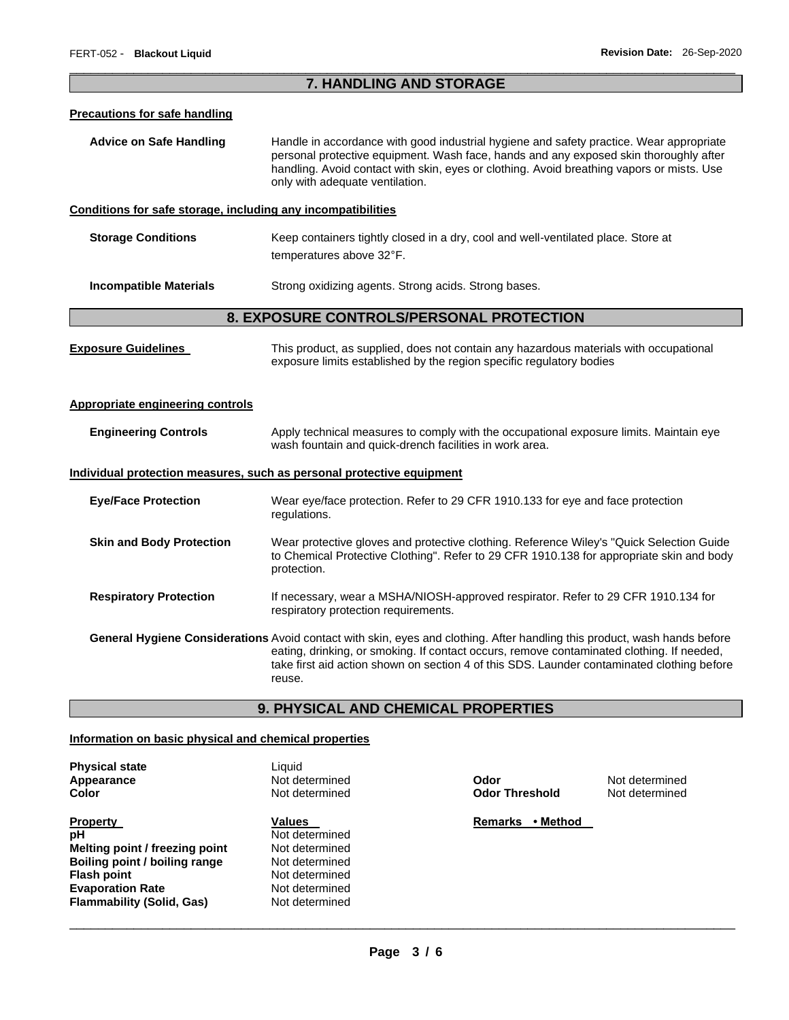## \_\_\_\_\_\_\_\_\_\_\_\_\_\_\_\_\_\_\_\_\_\_\_\_\_\_\_\_\_\_\_\_\_\_\_\_\_\_\_\_\_\_\_\_\_\_\_\_\_\_\_\_\_\_\_\_\_\_\_\_\_\_\_\_\_\_\_\_\_\_\_\_\_\_\_\_\_\_\_\_\_\_\_\_\_\_\_\_\_\_\_\_\_ **7. HANDLING AND STORAGE**

#### **Precautions for safe handling**

**Advice on Safe Handling** Handle in accordance with good industrial hygiene and safety practice. Wear appropriate personal protective equipment. Wash face, hands and any exposed skin thoroughly after handling. Avoid contact with skin, eyes or clothing. Avoid breathing vapors or mists. Use only with adequate ventilation.

### **Conditions for safe storage, including any incompatibilities**

**Storage Conditions Keep containers tightly closed in a dry, cool and well-ventilated place. Store at** temperatures above 32°F.

**Incompatible Materials Strong oxidizing agents. Strong acids. Strong bases.** 

## **8. EXPOSURE CONTROLS/PERSONAL PROTECTION**

**Exposure Guidelines** This product, as supplied, does not contain any hazardous materials with occupational exposure limits established by the region specific regulatory bodies

### **Appropriate engineering controls**

**Engineering Controls** Apply technical measures to comply with the occupational exposure limits. Maintain eye wash fountain and quick-drench facilities in work area.

#### **Individual protection measures, such as personal protective equipment**

| <b>Eye/Face Protection</b>                                                                                                                                                                                                                                                                                                     | Wear eye/face protection. Refer to 29 CFR 1910.133 for eye and face protection<br>regulations.                                                                                                      |  |  |  |
|--------------------------------------------------------------------------------------------------------------------------------------------------------------------------------------------------------------------------------------------------------------------------------------------------------------------------------|-----------------------------------------------------------------------------------------------------------------------------------------------------------------------------------------------------|--|--|--|
| <b>Skin and Body Protection</b>                                                                                                                                                                                                                                                                                                | Wear protective gloves and protective clothing. Reference Wiley's "Quick Selection Guide<br>to Chemical Protective Clothing". Refer to 29 CFR 1910.138 for appropriate skin and body<br>protection. |  |  |  |
| <b>Respiratory Protection</b>                                                                                                                                                                                                                                                                                                  | If necessary, wear a MSHA/NIOSH-approved respirator. Refer to 29 CFR 1910.134 for<br>respiratory protection requirements.                                                                           |  |  |  |
| General Hygiene Considerations Avoid contact with skin, eyes and clothing. After handling this product, wash hands before<br>eating, drinking, or smoking. If contact occurs, remove contaminated clothing. If needed,<br>take first aid action shown on section 4 of this SDS. Launder contaminated clothing before<br>reuse. |                                                                                                                                                                                                     |  |  |  |

## **9. PHYSICAL AND CHEMICAL PROPERTIES**

## **Information on basic physical and chemical properties**

| <b>Physical state</b>            | Liquid         |
|----------------------------------|----------------|
| Appearance                       | Not determined |
| Color                            | Not determined |
| <b>Property</b>                  | <b>Values</b>  |
| рH                               | Not determined |
| Melting point / freezing point   | Not determined |
| Boiling point / boiling range    | Not determined |
| <b>Flash point</b>               | Not determined |
| <b>Evaporation Rate</b>          | Not determined |
| <b>Flammability (Solid, Gas)</b> | Not determined |
|                                  |                |

**Odor Threshold** 

**Apple Therefore Endorminal Codor Threshold** Mot determined **Odor Threshold** 

**Remarks • Method**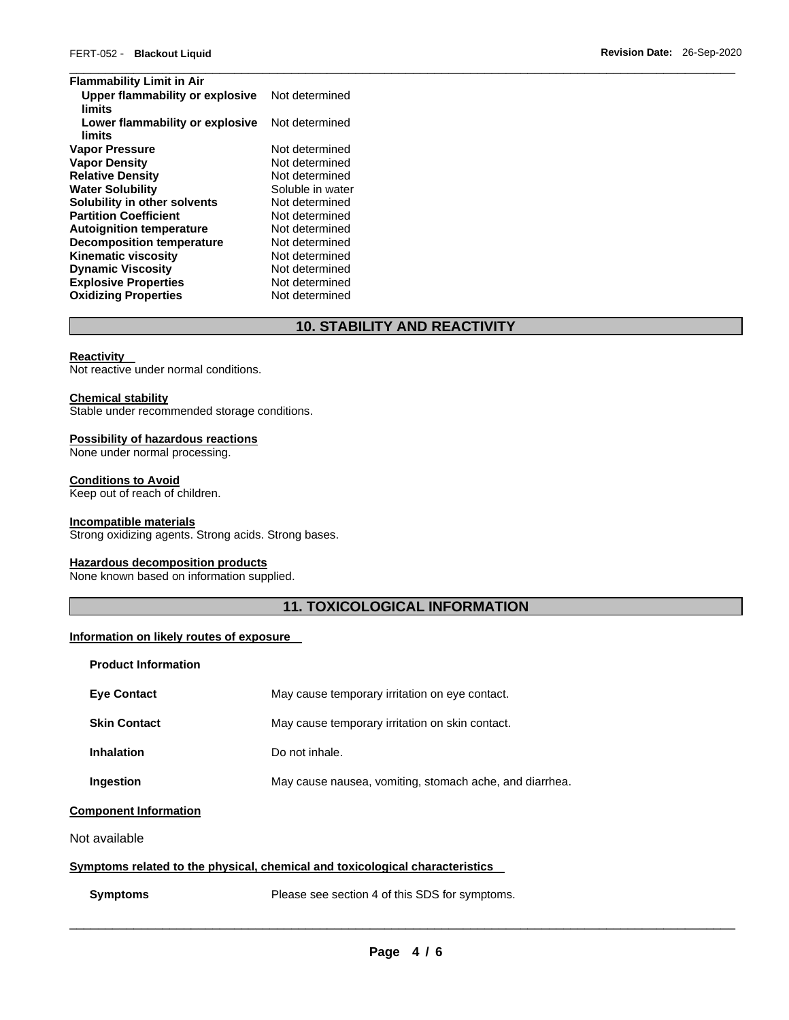| <b>Flammability Limit in Air</b>          |                  |  |
|-------------------------------------------|------------------|--|
| Upper flammability or explosive           | Not determined   |  |
| limits                                    |                  |  |
| Lower flammability or explosive<br>limits | Not determined   |  |
| Vapor Pressure                            | Not determined   |  |
| <b>Vapor Density</b>                      | Not determined   |  |
| <b>Relative Density</b>                   | Not determined   |  |
| <b>Water Solubility</b>                   | Soluble in water |  |
| Solubility in other solvents              | Not determined   |  |
| <b>Partition Coefficient</b>              | Not determined   |  |
| <b>Autoignition temperature</b>           | Not determined   |  |
| <b>Decomposition temperature</b>          | Not determined   |  |
| <b>Kinematic viscosity</b>                | Not determined   |  |
| <b>Dynamic Viscosity</b>                  | Not determined   |  |
| <b>Explosive Properties</b>               | Not determined   |  |
| <b>Oxidizing Properties</b>               | Not determined   |  |

## **10. STABILITY AND REACTIVITY**

#### **Reactivity**

Not reactive under normal conditions.

#### **Chemical stability**

Stable under recommended storage conditions.

## **Possibility of hazardous reactions**

None under normal processing.

## **Conditions to Avoid**

Keep out of reach of children.

## **Incompatible materials**

Strong oxidizing agents. Strong acids. Strong bases.

## **Hazardous decomposition products**

None known based on information supplied.

# **11. TOXICOLOGICAL INFORMATION**

## **Information on likely routes of exposure**

| <b>Product Information</b>   |                                                         |
|------------------------------|---------------------------------------------------------|
| <b>Eve Contact</b>           | May cause temporary irritation on eye contact.          |
| <b>Skin Contact</b>          | May cause temporary irritation on skin contact.         |
| Inhalation                   | Do not inhale.                                          |
| <b>Ingestion</b>             | May cause nausea, vomiting, stomach ache, and diarrhea. |
| <b>Component Information</b> |                                                         |

Not available

## **Symptoms related to the physical, chemical and toxicological characteristics**

## **Symptoms** Please see section 4 of this SDS for symptoms.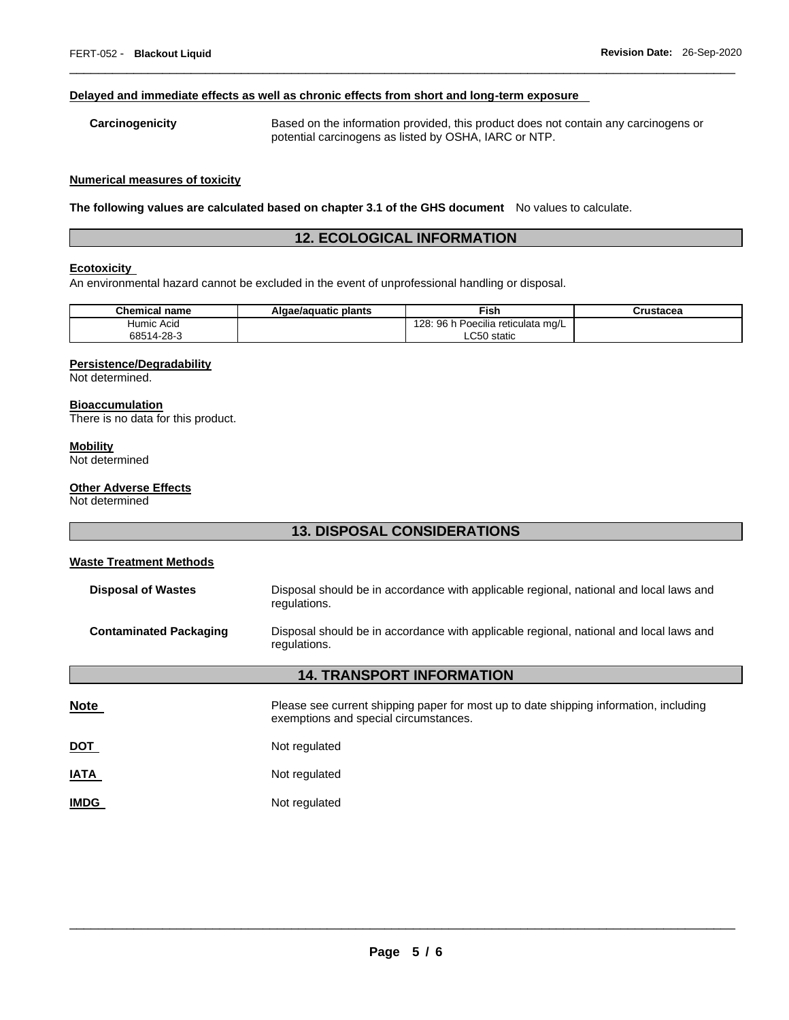#### **Delayed and immediate effects as well as chronic effects from short and long-term exposure**

## **Carcinogenicity** Based on the information provided, this product does not contain any carcinogens or potential carcinogens as listed by OSHA, IARC or NTP.

\_\_\_\_\_\_\_\_\_\_\_\_\_\_\_\_\_\_\_\_\_\_\_\_\_\_\_\_\_\_\_\_\_\_\_\_\_\_\_\_\_\_\_\_\_\_\_\_\_\_\_\_\_\_\_\_\_\_\_\_\_\_\_\_\_\_\_\_\_\_\_\_\_\_\_\_\_\_\_\_\_\_\_\_\_\_\_\_\_\_\_\_\_

#### **Numerical measures of toxicity**

**The following values are calculated based on chapter 3.1 of the GHS document** No values to calculate.

## **12. ECOLOGICAL INFORMATION**

### **Ecotoxicity**

An environmental hazard cannot be excluded in the event of unprofessional handling or disposal.

| <b>Chemical name</b> | Algae/aquatic plants | Fish                               | Crustacea |
|----------------------|----------------------|------------------------------------|-----------|
| Humic Acid           |                      | 128: 96 h Poecilia reticulata mg/L |           |
| 68514-28-3           |                      | LC50 static                        |           |

#### **Persistence/Degradability**

Not determined.

#### **Bioaccumulation**

There is no data for this product.

## **Mobility**

Not determined

## **Other Adverse Effects**

Not determined

## **13. DISPOSAL CONSIDERATIONS**

# **Waste Treatment Methods Disposal of Wastes** Disposal should be in accordance with applicable regional, national and local laws and regulations. **Contaminated Packaging** Disposal should be in accordance with applicable regional, national and local laws and regulations.

# **14. TRANSPORT INFORMATION Note Please see current shipping paper for most up to date shipping information, including** exemptions and special circumstances. **DOT** Not regulated **IATA** Not regulated

**IMDG** Not regulated